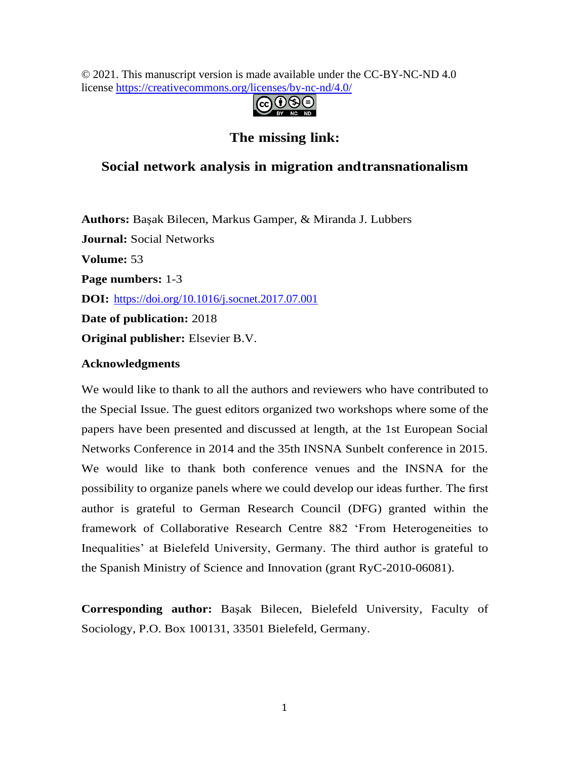© 2021. This manuscript version is made available under the CC-BY-NC-ND 4.0 license [https://creativecommons.org/licenses/by-nc-nd/4.0/](https://creativecommons.org/licenses/by-nc-nd/4.0)



### **The missing link:**

## **Social network analysis in migration andtransnationalism**

**Authors:** Başak Bilecen, Markus Gamper, & Miranda J. Lubbers **Journal:** Social Networks **Volume:** 53 **Page numbers:** 1-3 **DOI:** <https://doi.org/10.1016/j.socnet.2017.07.001> **Date of publication:** 2018 **Original publisher:** Elsevier B.V.

### **Acknowledgments**

<span id="page-0-4"></span><span id="page-0-2"></span><span id="page-0-1"></span>We would like to thank to all the authors and reviewers who have contributed to the Special Issue. The guest editors organized two workshops where some of the papers have been presented and discussed at length, at the 1st European Social Networks Conference in 2014 and the 35th INSNA Sunbelt conference in 2015. We would like to thank both conference venues and the INSNA for the possibility to organize panels where we could develop our ideas further. The first author is grateful to German Research Council (DFG) granted within the framework of Collaborative Research Centre 882 'From Heterogeneities to Inequalities' at Bielefeld University, Germany. The third author is grateful to the Spanish Ministry of Science and Innovation (grant RyC-2010-06081).

<span id="page-0-3"></span><span id="page-0-0"></span>**Corresponding author:** Başak Bilecen, Bielefeld University, Faculty of Sociology, P.O. Box 100131, 33501 Bielefeld, Germany.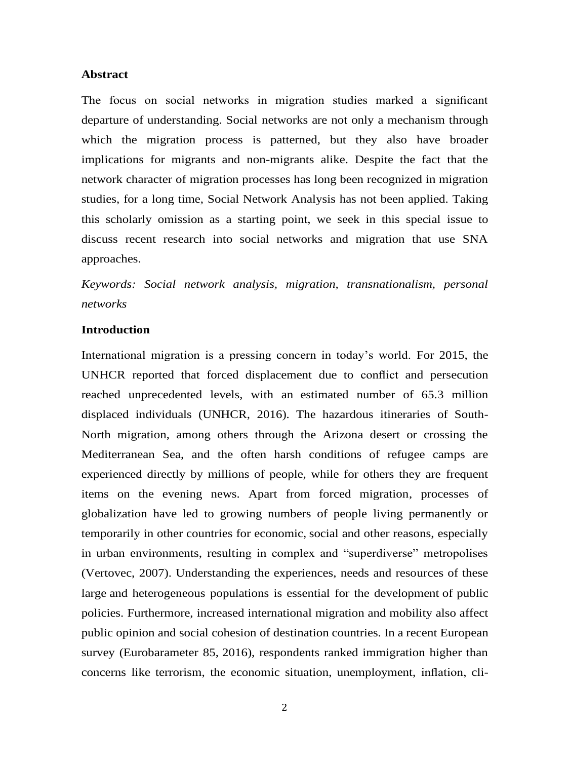#### **Abstract**

The focus on social networks in migration studies marked a significant departure of understanding. Social networks are not only a mechanism through which the migration process is patterned, but they also have broader implications for migrants and non-migrants alike. Despite the fact that the network character of migration processes has long been recognized in migration studies, for a long time, Social Network Analysis has not been applied. Taking this scholarly omission as a starting point, we seek in this special issue to discuss recent research into social networks and migration that use SNA approaches.

*Keywords: Social network analysis, migration, transnationalism, personal networks*

#### **Introduction**

International migration is a pressing concern in today's world. For 2015, the UNHCR reported that forced displacement due to conflict and persecution reached unprecedented levels, with an estimated number of 65.3 million displaced individuals [\(UNHCR,](#page-0-0) [2016\). T](#page-0-0)he hazardous itineraries of South-North migration, among others through the Arizona desert or crossing the Mediterranean Sea, and the often harsh conditions of refugee camps are experienced directly by millions of people, while for others they are frequent items on the evening news. Apart from forced migration, processes of globalization have led to growing numbers of people living permanently or temporarily in other countries for economic, social and other reasons, especially in urban environments, resulting in complex and "superdiverse" metropolises [\(Vertovec, 2007\).](#page-7-0) Understanding the experiences, needs and resources of these large and heterogeneous populations is essential for the development of public policies. Furthermore, increased international migration and mobility also affect public opinion and social cohesion of destination countries. In a recent European survey [\(Eurobarameter](#page-6-0) [85,](#page-6-0) [2016\), r](#page-6-0)espondents ranked immigration higher than concerns like terrorism, the economic situation, unemployment, inflation, cli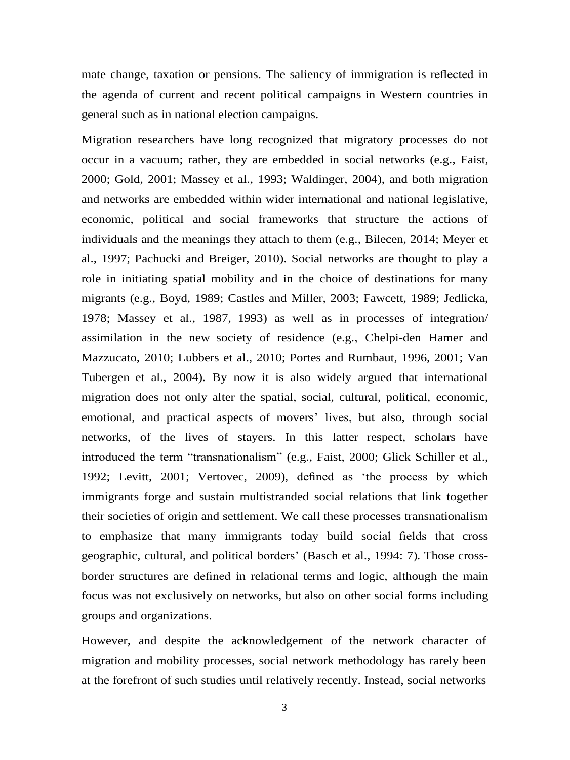mate change, taxation or pensions. The saliency of immigration is reflected in the agenda of current and recent political campaigns in Western countries in general such as in national election campaigns.

Migration researchers have long recognized that migratory processes do not occur in a vacuum; rather, they are embedded in social networks (e.g., [Faist,](#page-6-1)  [2000; Gold, 2001; Massey et al., 1993;](#page-6-1) [Waldinger,](#page-6-1) [2004\),](#page-6-1) and both migration and networks are embedded within wider international and national legislative, economic, political and social frameworks that structure the actions of individuals and the meanings they attach to them (e.g., [Bilecen, 2014;](#page-7-1) [Meyer](#page-7-1) [et](#page-7-1)  [al.,](#page-7-1) [1997;](#page-7-1) [Pachucki](#page-7-1) [and](#page-7-1) [Breiger,](#page-7-1) [2010\).](#page-7-1) Social networks are thought to play a role in initiating spatial mobility and in the choice of destinations for many migrants (e.g., [Boyd, 1989; Castles](#page-7-2) [and](#page-7-2) [Miller,](#page-7-2) [2003;](#page-7-2) [Fawcett,](#page-7-2) [1989;](#page-7-2) [Jedlicka,](#page-7-2) [1978;](#page-7-2) [Massey](#page-7-2) et [al.,](#page-7-2) [1987,](#page-7-2) [1993\)](#page-7-2) as well as in processes of integration/ assimilation in the new society of residence (e.g., [Chelpi-den Hamer and](#page-7-3)  [Mazzucato, 2010;](#page-7-3) [Lubbers](#page-7-3) et [al.,](#page-7-3) [2010;](#page-7-3) [Portes](#page-0-1) [and](#page-0-1) [Rumbaut,](#page-0-1) [1996,](#page-0-1) [2001;](#page-0-1) [Van](#page-7-4) [Tubergen](#page-7-4) [et al.,](#page-7-4) [2004\).](#page-7-4) By now it is also widely argued that international migration does not only alter the spatial, social, cultural, political, economic, emotional, and practical aspects of movers' lives, but also, through social networks, of the lives of stayers. In this latter respect, scholars have introduced the term "transnationalism" (e.g., [Faist, 2000; Glick Schiller et al.,](#page-6-1)  [1992; Levitt, 2001; Vertovec,](#page-6-1) [2009\), d](#page-6-1)efined as 'the process by which immigrants forge and sustain multistranded social relations that link together their societies of origin and settlement. We call these processes transnationalism to emphasize that many immigrants today build social fields that cross geographic, cultural, and political borders' [\(Basch](#page-7-5) et [al.,](#page-7-5) [1994:](#page-7-5) [7\).](#page-7-5) Those crossborder structures are defined in relational terms and logic, although the main focus was not exclusively on networks, but also on other social forms including groups and organizations.

However, and despite the acknowledgement of the network character of migration and mobility processes, social network methodology has rarely been at the forefront of such studies until relatively recently. Instead, social networks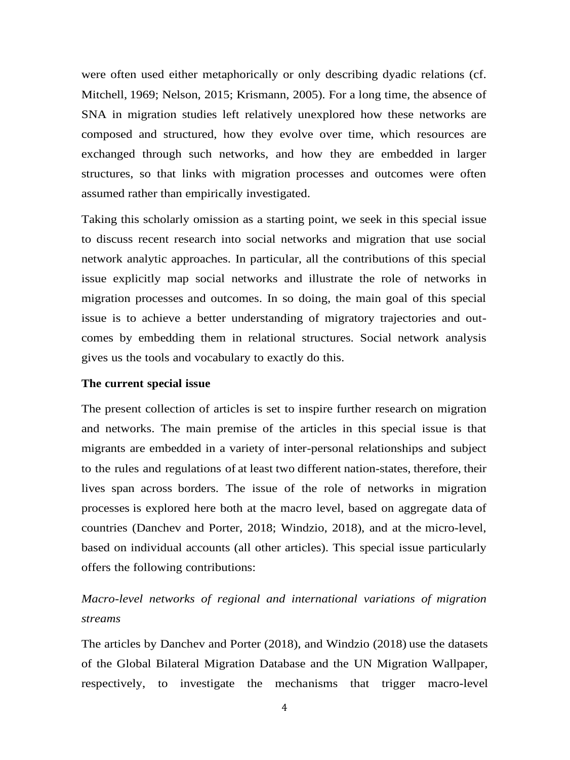were often used either metaphorically or only describing dyadic relations (cf. [Mitchell,](#page-6-2) [1969; Nelson, 2015; Krismann, 2005\). F](#page-6-2)or a long time, the absence of SNA in migration studies left relatively unexplored how these networks are composed and structured, how they evolve over time, which resources are exchanged through such networks, and how they are embedded in larger structures, so that links with migration processes and outcomes were often assumed rather than empirically investigated.

Taking this scholarly omission as a starting point, we seek in this special issue to discuss recent research into social networks and migration that use social network analytic approaches. In particular, all the contributions of this special issue explicitly map social networks and illustrate the role of networks in migration processes and outcomes. In so doing, the main goal of this special issue is to achieve a better understanding of migratory trajectories and outcomes by embedding them in relational structures. Social network analysis gives us the tools and vocabulary to exactly do this.

#### **The current special issue**

The present collection of articles is set to inspire further research on migration and networks. The main premise of the articles in this special issue is that migrants are embedded in a variety of inter-personal relationships and subject to the rules and regulations of at least two different nation-states, therefore, their lives span across borders. The issue of the role of networks in migration processes is explored here both at the macro level, based on aggregate data of countries [\(Danchev and Porter, 2018;](#page-7-6) [Windzio, 2018\), a](#page-7-7)nd at the micro-level, based on individual accounts (all other articles). This special issue particularly offers the following contributions:

# *Macro-level networks of regional and international variations of migration streams*

The articles by [Danchev and Porter \(2018\), a](#page-7-6)nd [Windzio \(2018\)](#page-7-7) use the datasets of the Global Bilateral Migration Database and the UN Migration Wallpaper, respectively, to investigate the mechanisms that trigger macro-level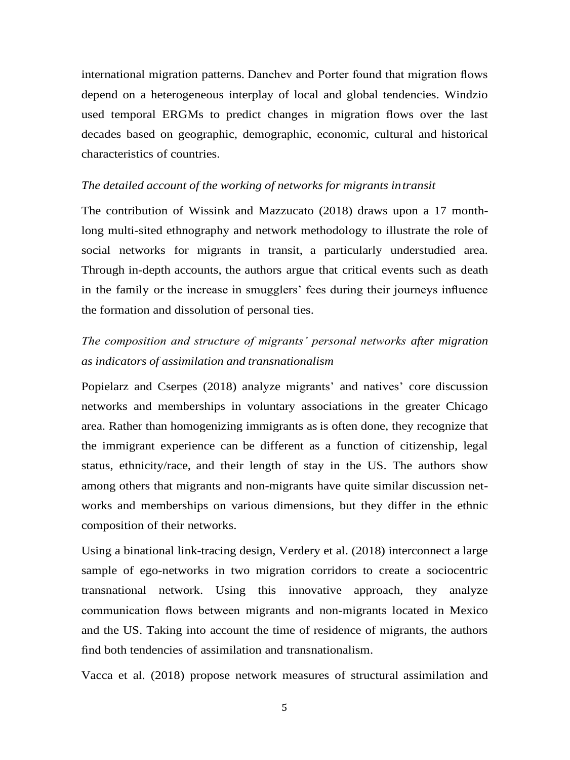international migration patterns. Danchev and Porter found that migration flows depend on a heterogeneous interplay of local and global tendencies. Windzio used temporal ERGMs to predict changes in migration flows over the last decades based on geographic, demographic, economic, cultural and historical characteristics of countries.

#### *The detailed account of the working of networks for migrants intransit*

The contribution of [Wissink and Mazzucato \(2018\) d](#page-7-3)raws upon a 17 monthlong multi-sited ethnography and network methodology to illustrate the role of social networks for migrants in transit, a particularly understudied area. Through in-depth accounts, the authors argue that critical events such as death in the family or the increase in smugglers' fees during their journeys influence the formation and dissolution of personal ties.

# *The composition and structure of migrants' personal networks after migration as indicators of assimilation and transnationalism*

[Popielarz](#page-0-2) [and](#page-0-2) [Cserpes](#page-0-2) [\(2018\)](#page-0-2) analyze migrants' and natives' core discussion networks and memberships in voluntary associations in the greater Chicago area. Rather than homogenizing immigrants as is often done, they recognize that the immigrant experience can be different as a function of citizenship, legal status, ethnicity/race, and their length of stay in the US. The authors show among others that migrants and non-migrants have quite similar discussion networks and memberships on various dimensions, but they differ in the ethnic composition of their networks.

Using a binational link-tracing design, [Verdery](#page-7-1) et [al.](#page-7-1) [\(2018\)](#page-7-1) interconnect a large sample of ego-networks in two migration corridors to create a sociocentric transnational network. Using this innovative approach, they analyze communication flows between migrants and non-migrants located in Mexico and the US. Taking into account the time of residence of migrants, the authors find both tendencies of assimilation and transnationalism.

[Vacca](#page-7-5) et [al.](#page-7-5) [\(2018\)](#page-7-5) propose network measures of structural assimilation and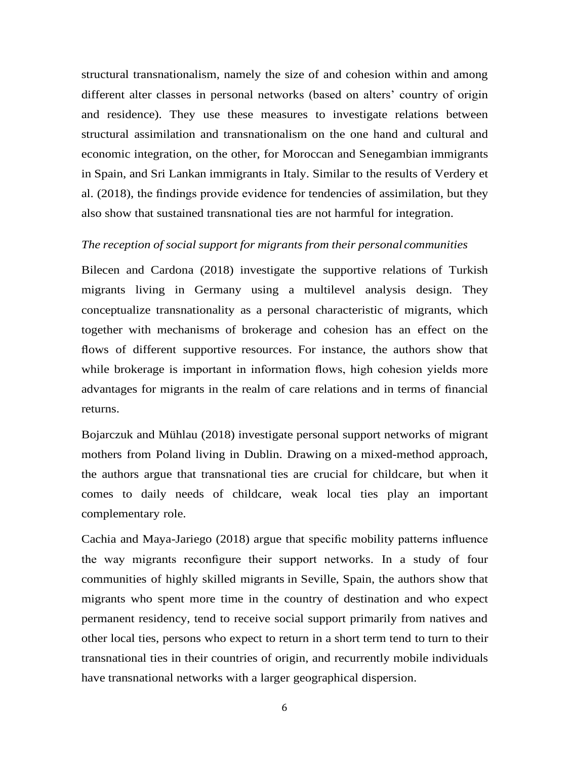structural transnationalism, namely the size of and cohesion within and among different alter classes in personal networks (based on alters' country of origin and residence). They use these measures to investigate relations between structural assimilation and transnationalism on the one hand and cultural and economic integration, on the other, for Moroccan and Senegambian immigrants in Spain, and Sri Lankan immigrants in Italy. Similar to the results of [Verdery et](#page-7-1)  [al. \(2018\), t](#page-7-1)he findings provide evidence for tendencies of assimilation, but they also show that sustained transnational ties are not harmful for integration.

#### *The reception of social support for migrants from their personal communities*

[Bilecen](#page-7-8) [and](#page-7-8) [Cardona](#page-7-8) [\(2018\)](#page-7-8) investigate the supportive relations of Turkish migrants living in Germany using a multilevel analysis design. They conceptualize transnationality as a personal characteristic of migrants, which together with mechanisms of brokerage and cohesion has an effect on the flows of different supportive resources. For instance, the authors show that while brokerage is important in information flows, high cohesion yields more advantages for migrants in the realm of care relations and in terms of financial returns.

[Bojarczuk and Mühlau \(2018\) i](#page-7-0)nvestigate personal support networks of migrant mothers from Poland living in Dublin. Drawing on a mixed-method approach, the authors argue that transnational ties are crucial for childcare, but when it comes to daily needs of childcare, weak local ties play an important complementary role.

[Cachia](#page-7-9) [and](#page-7-9) [Maya-Jariego](#page-7-9) [\(2018\)](#page-7-9) argue that specific mobility patterns influence the way migrants reconfigure their support networks. In a study of four communities of highly skilled migrants in Seville, Spain, the authors show that migrants who spent more time in the country of destination and who expect permanent residency, tend to receive social support primarily from natives and other local ties, persons who expect to return in a short term tend to turn to their transnational ties in their countries of origin, and recurrently mobile individuals have transnational networks with a larger geographical dispersion.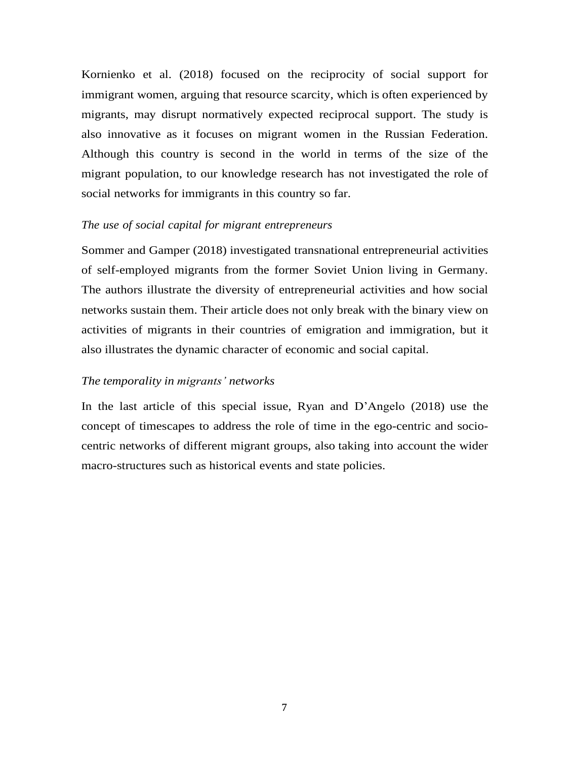[Kornienko et al. \(2018\) f](#page-6-3)ocused on the reciprocity of social support for immigrant women, arguing that resource scarcity, which is often experienced by migrants, may disrupt normatively expected reciprocal support. The study is also innovative as it focuses on migrant women in the Russian Federation. Although this country is second in the world in terms of the size of the migrant population, to our knowledge research has not investigated the role of social networks for immigrants in this country so far.

#### <span id="page-6-1"></span><span id="page-6-0"></span>*The use of social capital for migrant entrepreneurs*

[Sommer](#page-0-3) [and](#page-0-3) [Gamper](#page-0-3) [\(2018\)](#page-0-3) investigated transnational entrepreneurial activities of self-employed migrants from the former Soviet Union living in Germany. The authors illustrate the diversity of entrepreneurial activities and how social networks sustain them. Their article does not only break with the binary view on activities of migrants in their countries of emigration and immigration, but it also illustrates the dynamic character of economic and social capital.

#### <span id="page-6-3"></span>*The temporality in migrants' networks*

<span id="page-6-2"></span>In the last article of this special issue, [Ryan](#page-0-4) [and](#page-0-4) [D'Angelo](#page-0-4) [\(2018\)](#page-0-4) use the concept of timescapes to address the role of time in the ego-centric and sociocentric networks of different migrant groups, also taking into account the wider macro-structures such as historical events and state policies.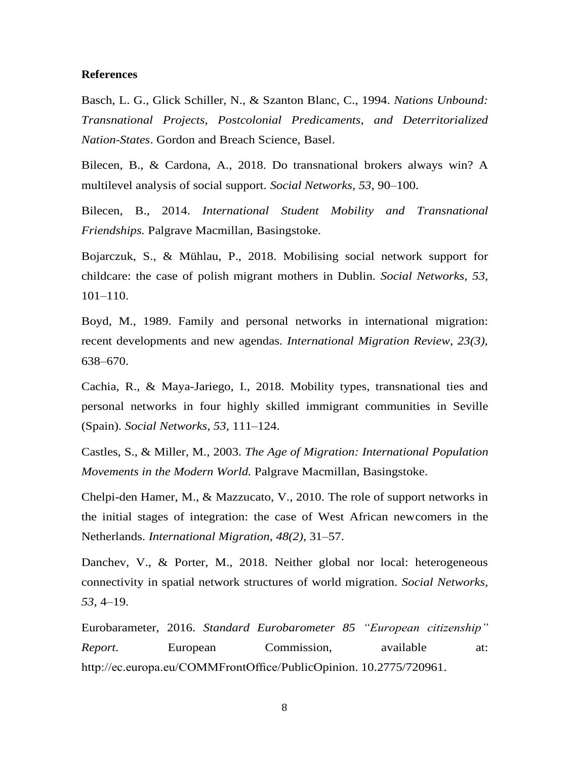#### <span id="page-7-5"></span>**References**

<span id="page-7-8"></span><span id="page-7-4"></span>Basch, L. G., Glick Schiller, N., & Szanton Blanc, C., 1994. *Nations Unbound: Transnational Projects, Postcolonial Predicaments, and Deterritorialized Nation-States*. Gordon and Breach Science, Basel.

<span id="page-7-1"></span><span id="page-7-0"></span>Bilecen, B., & Cardona, A., 2018. Do transnational brokers always win? A multilevel analysis of social support. *Social Networks, 53*, 90–100.

Bilecen, B., 2014. *International Student Mobility and Transnational Friendships.* Palgrave Macmillan, Basingstoke.

<span id="page-7-2"></span>Bojarczuk, S., & Mühlau, P., 2018. Mobilising social network support for childcare: the case of polish migrant mothers in Dublin. *Social Networks, 53*, 101–110.

<span id="page-7-9"></span>Boyd, M., 1989. Family and personal networks in international migration: recent developments and new agendas. *International Migration Review, 23(3),* 638–670.

<span id="page-7-7"></span>Cachia, R., & Maya-Jariego, I., 2018. Mobility types, transnational ties and personal networks in four highly skilled immigrant communities in Seville (Spain). *Social Networks, 53*, 111–124.

<span id="page-7-3"></span>Castles, S., & Miller, M., 2003. *The Age of Migration: International Population Movements in the Modern World.* Palgrave Macmillan, Basingstoke.

<span id="page-7-6"></span>Chelpi-den Hamer, M., & Mazzucato, V., 2010. The role of support networks in the initial stages of integration: the case of West African newcomers in the Netherlands. *International Migration, 48(2),* 31–57.

Danchev, V., & Porter, M., 2018. Neither global nor local: heterogeneous connectivity in spatial network structures of world migration. *Social Networks, 53*, 4–19.

Eurobarameter, 2016. *Standard Eurobarometer 85 "European citizenship" Report.* European Commission, available at: [http://ec.europa.eu/COMMFrontOffice/PublicOpinion.](http://ec.europa.eu/COMMFrontOffice/PublicOpinion) 10.2775/720961.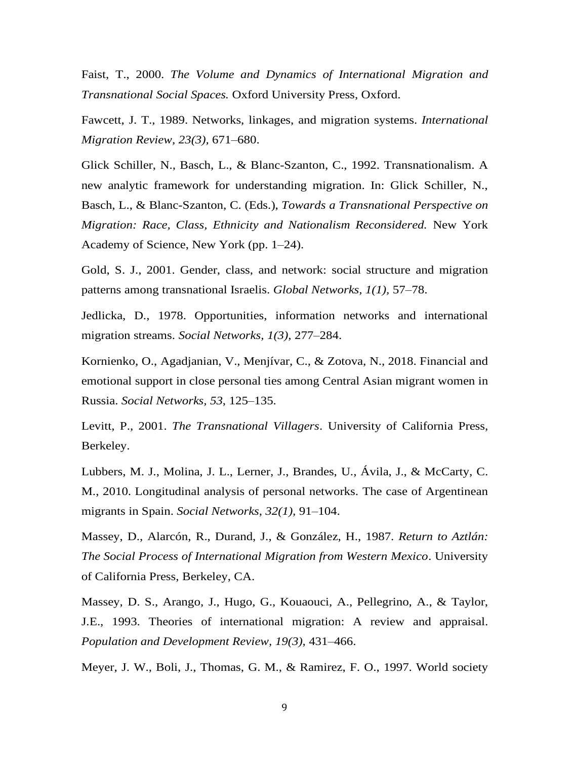Faist, T., 2000. *The Volume and Dynamics of International Migration and Transnational Social Spaces.* Oxford University Press, Oxford.

Fawcett, J. T., 1989. Networks, linkages, and migration systems. *International Migration Review, 23(3),* 671–680.

Glick Schiller, N., Basch, L., & Blanc-Szanton, C., 1992. Transnationalism. A new analytic framework for understanding migration. In: Glick Schiller, N., Basch, L., & Blanc-Szanton, C. (Eds.), *Towards a Transnational Perspective on Migration: Race, Class, Ethnicity and Nationalism Reconsidered.* New York Academy of Science, New York (pp. 1–24).

Gold, S. J., 2001. Gender, class, and network: social structure and migration patterns among transnational Israelis. *Global Networks, 1(1),* 57–78.

Jedlicka, D., 1978. Opportunities, information networks and international migration streams. *Social Networks, 1(3),* 277–284.

Kornienko, O., Agadjanian, V., Menjívar, C., & Zotova, N., 2018. Financial and emotional support in close personal ties among Central Asian migrant women in Russia. *Social Networks, 53*, 125–135.

Levitt, P., 2001. *The Transnational Villagers*. University of California Press, Berkeley.

Lubbers, M. J., Molina, J. L., Lerner, J., Brandes, U., Ávila, J., & McCarty, C. M., 2010. Longitudinal analysis of personal networks. The case of Argentinean migrants in Spain. *Social Networks*, *32(1),* 91–104.

Massey, D., Alarcón, R., Durand, J., & González, H., 1987. *Return to Aztlán: The Social Process of International Migration from Western Mexico*. University of California Press, Berkeley, CA.

Massey, D. S., Arango, J., Hugo, G., Kouaouci, A., Pellegrino, A., & Taylor, J.E., 1993. Theories of international migration: A review and appraisal. *Population and Development Review, 19(3),* 431–466.

Meyer, J. W., Boli, J., Thomas, G. M., & Ramirez, F. O., 1997. World society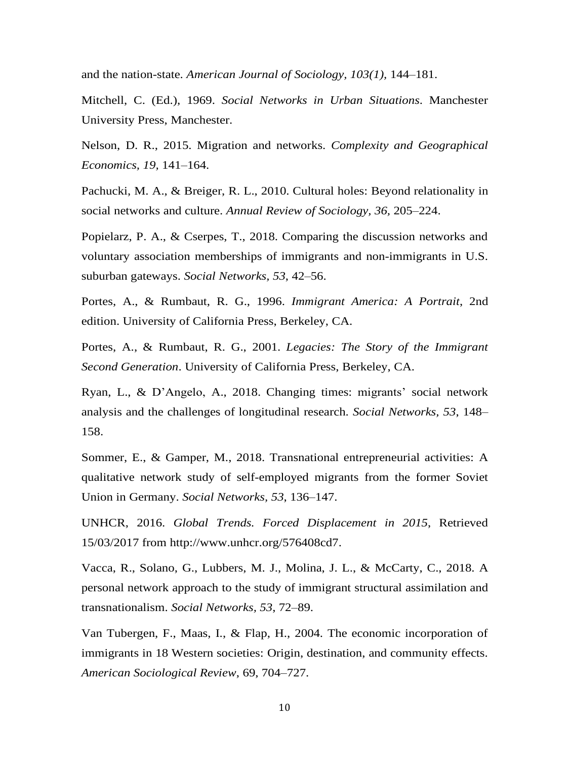and the nation-state. *American Journal of Sociology, 103(1),* 144–181.

Mitchell, C. (Ed.), 1969. *Social Networks in Urban Situations*. Manchester University Press, Manchester.

Nelson, D. R., 2015. Migration and networks. *Complexity and Geographical Economics, 19,* 141–164.

Pachucki, M. A., & Breiger, R. L., 2010. Cultural holes: Beyond relationality in social networks and culture. *Annual Review of Sociology, 36,* 205–224.

Popielarz, P. A., & Cserpes, T., 2018. Comparing the discussion networks and voluntary association memberships of immigrants and non-immigrants in U.S. suburban gateways. *Social Networks, 53*, 42–56.

Portes, A., & Rumbaut, R. G., 1996. *Immigrant America: A Portrait*, 2nd edition. University of California Press, Berkeley, CA.

Portes, A., & Rumbaut, R. G., 2001. *Legacies: The Story of the Immigrant Second Generation*. University of California Press, Berkeley, CA.

Ryan, L., & D'Angelo, A., 2018. Changing times: migrants' social network analysis and the challenges of longitudinal research. *Social Networks, 53*, 148– 158.

Sommer, E., & Gamper, M., 2018. Transnational entrepreneurial activities: A qualitative network study of self-employed migrants from the former Soviet Union in Germany. *Social Networks, 53*, 136–147.

UNHCR, 2016. *Global Trends. Forced Displacement in 2015*, Retrieved 15/03/2017 from [http://www.unhcr.org/576408cd7.](http://www.unhcr.org/576408cd7)

Vacca, R., Solano, G., Lubbers, M. J., Molina, J. L., & McCarty, C., 2018. A personal network approach to the study of immigrant structural assimilation and transnationalism. *Social Networks, 53*, 72–89.

Van Tubergen, F., Maas, I., & Flap, H., 2004. The economic incorporation of immigrants in 18 Western societies: Origin, destination, and community effects. *American Sociological Review*, 69, 704–727.